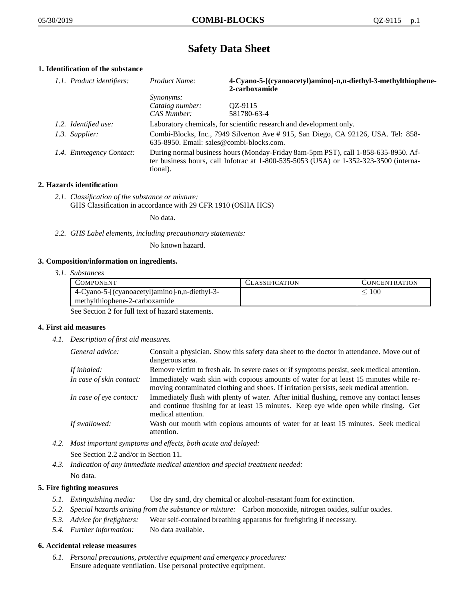# **Safety Data Sheet**

# **1. Identification of the substance**

| 1.1. Product identifiers: | Product Name:                                                                                                                                                                           | 4-Cyano-5-[(cyanoacetyl)amino]-n,n-diethyl-3-methylthiophene-<br>2-carboxamide |
|---------------------------|-----------------------------------------------------------------------------------------------------------------------------------------------------------------------------------------|--------------------------------------------------------------------------------|
|                           | <i>Synonyms:</i>                                                                                                                                                                        |                                                                                |
|                           | Catalog number:                                                                                                                                                                         | OZ-9115                                                                        |
|                           | CAS Number:                                                                                                                                                                             | 581780-63-4                                                                    |
| 1.2. Identified use:      | Laboratory chemicals, for scientific research and development only.                                                                                                                     |                                                                                |
| 1.3. Supplier:            | Combi-Blocks, Inc., 7949 Silverton Ave #915, San Diego, CA 92126, USA. Tel: 858-<br>635-8950. Email: sales@combi-blocks.com.                                                            |                                                                                |
| 1.4. Emmegency Contact:   | During normal business hours (Monday-Friday 8am-5pm PST), call 1-858-635-8950. Af-<br>ter business hours, call Infotrac at 1-800-535-5053 (USA) or 1-352-323-3500 (interna-<br>tional). |                                                                                |

## **2. Hazards identification**

*2.1. Classification of the substance or mixture:* GHS Classification in accordance with 29 CFR 1910 (OSHA HCS)

No data.

*2.2. GHS Label elements, including precautionary statements:*

No known hazard.

## **3. Composition/information on ingredients.**

*3.1. Substances*

| COMPONENT                                     | LASSIFICATION | CONCENTRATION |
|-----------------------------------------------|---------------|---------------|
| 4-Cyano-5-[(cyanoacetyl)amino]-n,n-diethyl-3- |               | -00           |
| methylthiophene-2-carboxamide                 |               |               |

See Section 2 for full text of hazard statements.

## **4. First aid measures**

*4.1. Description of first aid measures.*

| General advice:          | Consult a physician. Show this safety data sheet to the doctor in attendance. Move out of<br>dangerous area.                                                                                            |
|--------------------------|---------------------------------------------------------------------------------------------------------------------------------------------------------------------------------------------------------|
| If inhaled:              | Remove victim to fresh air. In severe cases or if symptoms persist, seek medical attention.                                                                                                             |
| In case of skin contact: | Immediately wash skin with copious amounts of water for at least 15 minutes while re-<br>moving contaminated clothing and shoes. If irritation persists, seek medical attention.                        |
| In case of eye contact:  | Immediately flush with plenty of water. After initial flushing, remove any contact lenses<br>and continue flushing for at least 15 minutes. Keep eye wide open while rinsing. Get<br>medical attention. |
| If swallowed:            | Wash out mouth with copious amounts of water for at least 15 minutes. Seek medical<br>attention.                                                                                                        |

- *4.2. Most important symptoms and effects, both acute and delayed:* See Section 2.2 and/or in Section 11.
- *4.3. Indication of any immediate medical attention and special treatment needed:* No data.

## **5. Fire fighting measures**

- *5.1. Extinguishing media:* Use dry sand, dry chemical or alcohol-resistant foam for extinction.
- *5.2. Special hazards arising from the substance or mixture:* Carbon monoxide, nitrogen oxides, sulfur oxides.
- *5.3. Advice for firefighters:* Wear self-contained breathing apparatus for firefighting if necessary.
- *5.4. Further information:* No data available.

## **6. Accidental release measures**

*6.1. Personal precautions, protective equipment and emergency procedures:* Ensure adequate ventilation. Use personal protective equipment.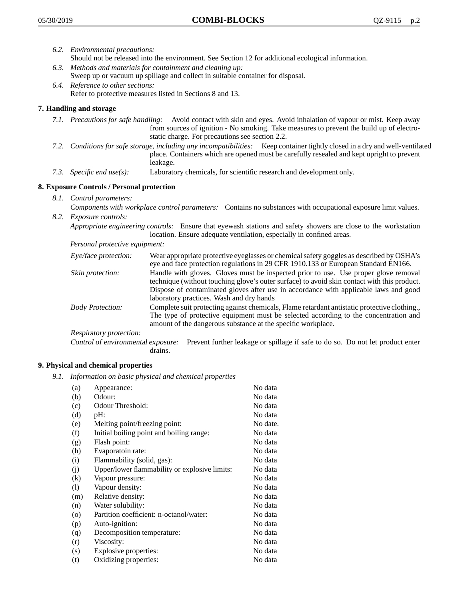- *6.2. Environmental precautions:* Should not be released into the environment. See Section 12 for additional ecological information.
- *6.3. Methods and materials for containment and cleaning up:* Sweep up or vacuum up spillage and collect in suitable container for disposal.
- *6.4. Reference to other sections:* Refer to protective measures listed in Sections 8 and 13.

# **7. Handling and storage**

- *7.1. Precautions for safe handling:* Avoid contact with skin and eyes. Avoid inhalation of vapour or mist. Keep away from sources of ignition - No smoking. Take measures to prevent the build up of electrostatic charge. For precautions see section 2.2.
- *7.2. Conditions for safe storage, including any incompatibilities:* Keep container tightly closed in a dry and well-ventilated place. Containers which are opened must be carefully resealed and kept upright to prevent leakage.
- *7.3. Specific end use(s):* Laboratory chemicals, for scientific research and development only.

# **8. Exposure Controls / Personal protection**

- *8.1. Control parameters:*
- *Components with workplace control parameters:* Contains no substances with occupational exposure limit values. *8.2. Exposure controls:*

*Appropriate engineering controls:* Ensure that eyewash stations and safety showers are close to the workstation location. Ensure adequate ventilation, especially in confined areas.

*Personal protective equipment:*

| Eye/face protection:    | Wear appropriate protective eyeglasses or chemical safety goggles as described by OSHA's<br>eye and face protection regulations in 29 CFR 1910.133 or European Standard EN166.                                                                                                                                         |
|-------------------------|------------------------------------------------------------------------------------------------------------------------------------------------------------------------------------------------------------------------------------------------------------------------------------------------------------------------|
| Skin protection:        | Handle with gloves. Gloves must be inspected prior to use. Use proper glove removal<br>technique (without touching glove's outer surface) to avoid skin contact with this product.<br>Dispose of contaminated gloves after use in accordance with applicable laws and good<br>laboratory practices. Wash and dry hands |
| <b>Body Protection:</b> | Complete suit protecting against chemicals, Flame retardant antistatic protective clothing.,<br>The type of protective equipment must be selected according to the concentration and<br>amount of the dangerous substance at the specific workplace.                                                                   |
| Respiratory protection: |                                                                                                                                                                                                                                                                                                                        |

Control of environmental exposure: Prevent further leakage or spillage if safe to do so. Do not let product enter drains.

## **9. Physical and chemical properties**

*9.1. Information on basic physical and chemical properties*

| (a)                        | Appearance:                                   | No data  |
|----------------------------|-----------------------------------------------|----------|
| (b)                        | Odour:                                        | No data  |
| (c)                        | Odour Threshold:                              | No data  |
| (d)                        | pH:                                           | No data  |
| (e)                        | Melting point/freezing point:                 | No date. |
| (f)                        | Initial boiling point and boiling range:      | No data  |
| (g)                        | Flash point:                                  | No data  |
| (h)                        | Evaporatoin rate:                             | No data  |
| (i)                        | Flammability (solid, gas):                    | No data  |
| (j)                        | Upper/lower flammability or explosive limits: | No data  |
| (k)                        | Vapour pressure:                              | No data  |
| $\left( \mathrm{l}\right)$ | Vapour density:                               | No data  |
| (m)                        | Relative density:                             | No data  |
| (n)                        | Water solubility:                             | No data  |
| $\circ$                    | Partition coefficient: n-octanol/water:       | No data  |
| (p)                        | Auto-ignition:                                | No data  |
| (q)                        | Decomposition temperature:                    | No data  |
| (r)                        | Viscosity:                                    | No data  |
| (s)                        | Explosive properties:                         | No data  |
| (t)                        | Oxidizing properties:                         | No data  |